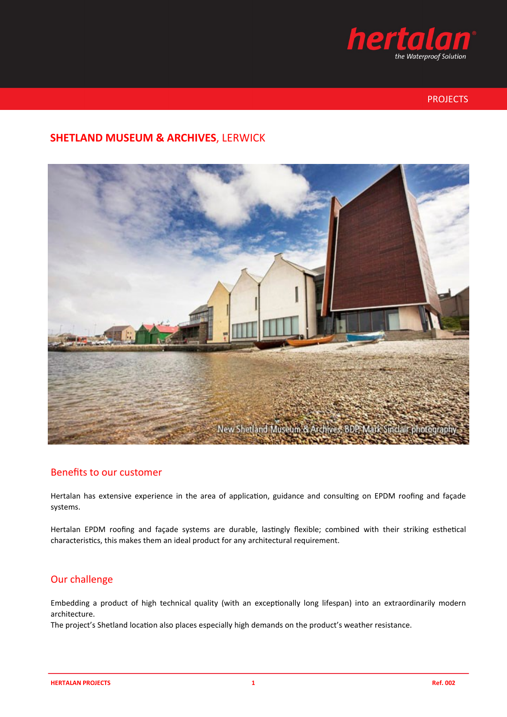

# PROJECTS

# **SHETLAND MUSEUM & ARCHIVES**, LERWICK



# Benefits to our customer

Hertalan has extensive experience in the area of application, guidance and consulting on EPDM roofing and façade systems.

Hertalan EPDM roofing and façade systems are durable, lastingly flexible; combined with their striking esthetical characteristics, this makes them an ideal product for any architectural requirement.

# Our challenge

Embedding a product of high technical quality (with an exceptionally long lifespan) into an extraordinarily modern architecture.

The project's Shetland location also places especially high demands on the product's weather resistance.